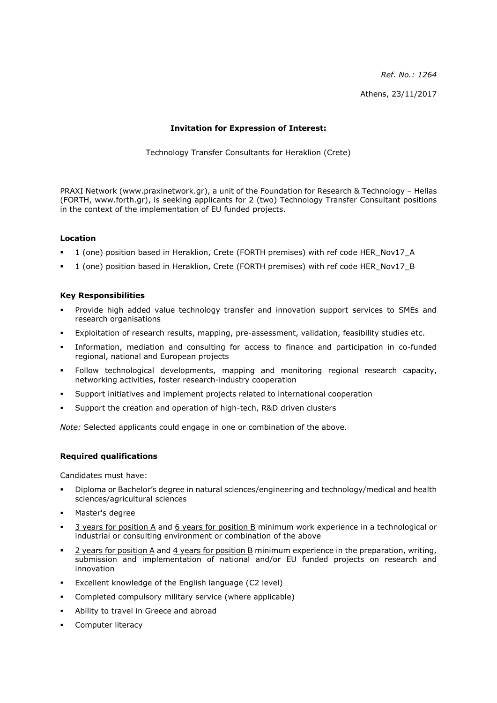*Ref. No.: 1264* Athens, 23/11/2017

# **Invitation for Expression of Interest:**

Technology Transfer Consultants for Heraklion (Crete)

PRAXI Network (www.praxinetwork.gr), a unit of the Foundation for Research & Technology – Hellas (FORTH, www.forth.gr), is seeking applicants for 2 (two) Technology Transfer Consultant positions in the context of the implementation of EU funded projects.

# **Location**

- 1 (one) position based in Heraklion, Crete (FORTH premises) with ref code HER\_Nov17\_A
- 1 (one) position based in Heraklion, Crete (FORTH premises) with ref code HER\_Nov17\_B

# **Key Responsibilities**

- Provide high added value technology transfer and innovation support services to SMEs and research organisations
- Exploitation of research results, mapping, pre-assessment, validation, feasibility studies etc.
- Information, mediation and consulting for access to finance and participation in co-funded regional, national and European projects
- Follow technological developments, mapping and monitoring regional research capacity, networking activities, foster research-industry cooperation
- Support initiatives and implement projects related to international cooperation
- Support the creation and operation of high-tech, R&D driven clusters

*Note:* Selected applicants could engage in one or combination of the above.

# **Required qualifications**

Candidates must have:

- Diploma or Bachelor's degree in natural sciences/engineering and technology/medical and health sciences/agricultural sciences
- Master's degree
- 3 years for position A and 6 years for position B minimum work experience in a technological or industrial or consulting environment or combination of the above
- 2 years for position A and 4 years for position B minimum experience in the preparation, writing, submission and implementation of national and/or EU funded projects on research and innovation
- Excellent knowledge of the English language (C2 level)
- Completed compulsory military service (where applicable)
- Ability to travel in Greece and abroad
- Computer literacy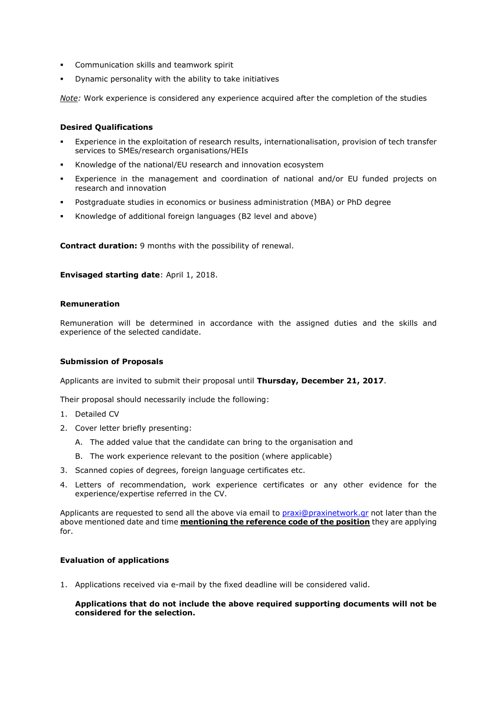- Communication skills and teamwork spirit
- Dynamic personality with the ability to take initiatives

*Note:* Work experience is considered any experience acquired after the completion of the studies

### **Desired Qualifications**

- Experience in the exploitation of research results, internationalisation, provision of tech transfer services to SMEs/research organisations/HEIs
- Knowledge of the national/EU research and innovation ecosystem
- Experience in the management and coordination of national and/or EU funded projects on research and innovation
- Postgraduate studies in economics or business administration (MBA) or PhD degree
- Knowledge of additional foreign languages (B2 level and above)

**Contract duration:** 9 months with the possibility of renewal.

**Envisaged starting date**: April 1, 2018.

### **Remuneration**

Remuneration will be determined in accordance with the assigned duties and the skills and experience of the selected candidate.

#### **Submission of Proposals**

Applicants are invited to submit their proposal until **Thursday, December 21, 2017**.

Their proposal should necessarily include the following:

- 1. Detailed CV
- 2. Cover letter briefly presenting:
	- A. The added value that the candidate can bring to the organisation and
	- B. The work experience relevant to the position (where applicable)
- 3. Scanned copies of degrees, foreign language certificates etc.
- 4. Letters of recommendation, work experience certificates or any other evidence for the experience/expertise referred in the CV.

Applicants are requested to send all the above via email to [praxi@praxinetwork.gr](mailto:praxi@praxinetwork.gr) not later than the above mentioned date and time **mentioning the reference code of the position** they are applying for.

# **Evaluation of applications**

1. Applications received via e-mail by the fixed deadline will be considered valid.

### **Applications that do not include the above required supporting documents will not be considered for the selection.**